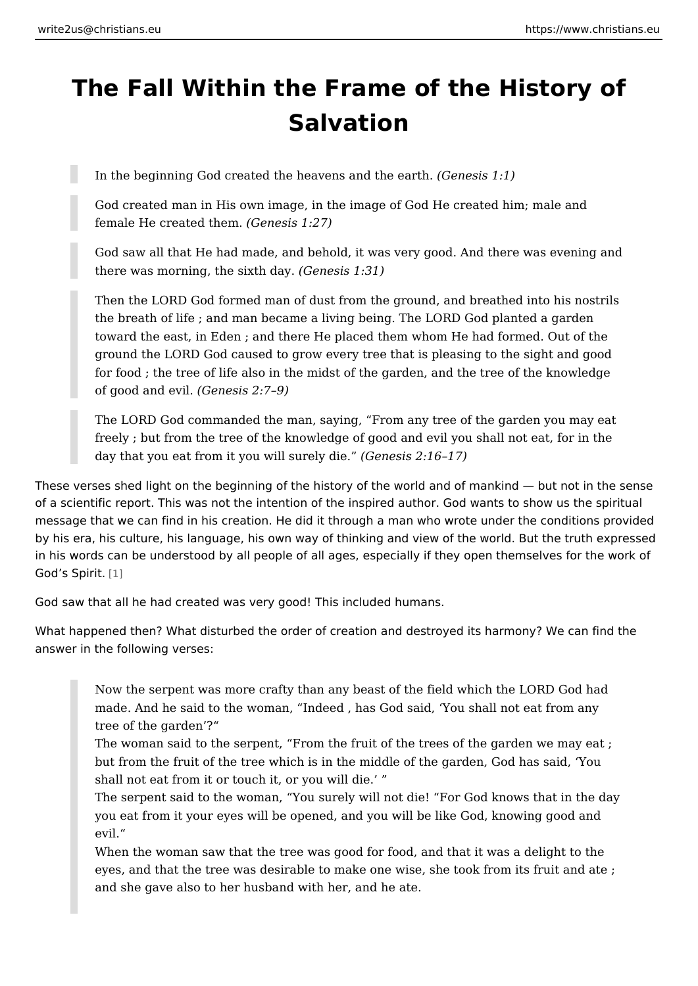## The Fall Within the Frame of the Histo Salvation

In the beginning God created the heavens General the earth .

God created man in His own image, in the image of God He created him; female He created (Gramesis 1:27)

God saw all that He had made, and behold, it was very good. And there there was morning, the  $s$ ( $\&$  th dains 1:31)

Then the LORD God formed man of dust from the ground, and breathed i the breath of life; and man became a living being. The LORD God plant toward the east, in Eden ; and there He placed them whom He had forme ground the LORD God caused to grow every tree that is pleasing to the for food; the tree of life also in the midst of the garden, and the tree of of good and  $(\mathbb{G}\times\mathbb{H})$  esis 2:7 9)

The LORD God commanded the man, saying, From any tree of the garde freely; but from the tree of the knowledge of good and evil you shall no day that you eat from it you will  $\left($  Genesis  $i\mathbf{\hat{z}}$ : 16 17)

These verses shed light on the beginning of the history of the world and of mank of a scientific report. This was not the intention of the inspired author. God wan message that we can find in his creation. He did it through a man who wrote und by his era, his culture, his language, his own way of thinking and view of the wo in his words can be understood by all people of all ages, especially if they open God s Spi[t]it.

God saw that all he had created was very good! This included humans.

What happened then? What disturbed the order of creation and destroyed its har answer in the following verses:

Now the serpent was more crafty than any beast of the field which the L made. And he said to the woman, Indeed , has God said, You shall not tree of the garden ? The woman said to the serpent, From the fruit of the trees of the garde but from the fruit of the tree which is in the middle of the garden, God shall not eat from it or touch it, or you will die. The serpent said to the woman, You surely will not die! For God knows you eat from it your eyes will be opened, and you will be like God, know evil. When the woman saw that the tree was good for food, and that it was a eyes, and that the tree was desirable to make one wise, she took from i and she gave also to her husband with her, and he ate.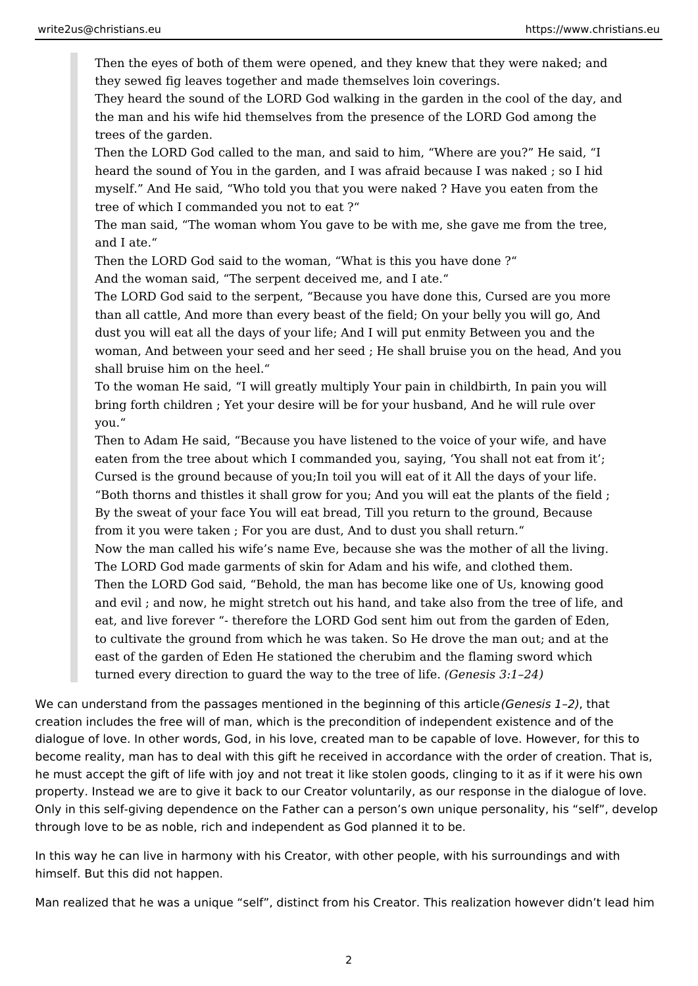Then the eyes of both of them were opened, and they knew that they were naked; and they sewed fig leaves together and made themselves loin coverings.

They heard the sound of the LORD God walking in the garden in the cool of the day, and the man and his wife hid themselves from the presence of the LORD God among the trees of the garden.

Then the LORD God called to the man, and said to him, "Where are you?" He said, "I heard the sound of You in the garden, and I was afraid because I was naked ; so I hid myself." And He said, "Who told you that you were naked ? Have you eaten from the tree of which I commanded you not to eat ?"

The man said, "The woman whom You gave to be with me, she gave me from the tree, and I ate."

Then the LORD God said to the woman, "What is this you have done ?" And the woman said, "The serpent deceived me, and I ate."

The LORD God said to the serpent, "Because you have done this, Cursed are you more than all cattle, And more than every beast of the field; On your belly you will go, And dust you will eat all the days of your life; And I will put enmity Between you and the woman, And between your seed and her seed ; He shall bruise you on the head, And you shall bruise him on the heel."

To the woman He said, "I will greatly multiply Your pain in childbirth, In pain you will bring forth children ; Yet your desire will be for your husband, And he will rule over you."

Then to Adam He said, "Because you have listened to the voice of your wife, and have eaten from the tree about which I commanded you, saying, 'You shall not eat from it'; Cursed is the ground because of you;In toil you will eat of it All the days of your life. "Both thorns and thistles it shall grow for you; And you will eat the plants of the field ; By the sweat of your face You will eat bread, Till you return to the ground, Because from it you were taken ; For you are dust, And to dust you shall return." Now the man called his wife's name Eve, because she was the mother of all the living. The LORD God made garments of skin for Adam and his wife, and clothed them. Then the LORD God said, "Behold, the man has become like one of Us, knowing good and evil ; and now, he might stretch out his hand, and take also from the tree of life, and eat, and live forever "- therefore the LORD God sent him out from the garden of Eden, to cultivate the ground from which he was taken. So He drove the man out; and at the east of the garden of Eden He stationed the cherubim and the flaming sword which turned every direction to guard the way to the tree of life. *(Genesis 3:1–24)* 

We can understand from the passages mentioned in the beginning of this article *(Genesis 1–2)*, that creation includes the free will of man, which is the precondition of independent existence and of the dialogue of love. In other words, God, in his love, created man to be capable of love. However, for this to become reality, man has to deal with this gift he received in accordance with the order of creation. That is, he must accept the gift of life with joy and not treat it like stolen goods, clinging to it as if it were his own property. Instead we are to give it back to our Creator voluntarily, as our response in the dialogue of love. Only in this self-giving dependence on the Father can a person's own unique personality, his "self", develop through love to be as noble, rich and independent as God planned it to be.

In this way he can live in harmony with his Creator, with other people, with his surroundings and with himself. But this did not happen.

Man realized that he was a unique "self", distinct from his Creator. This realization however didn't lead him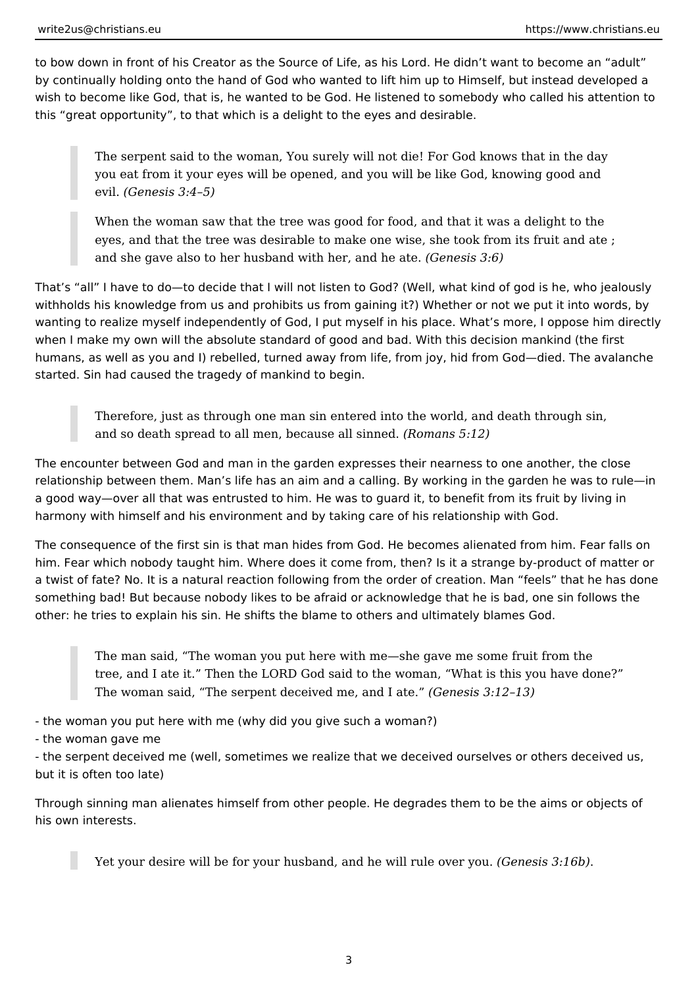to bow down in front of his Creator as the Source of Life, as his Lord. He didn't want to become an "adult" by continually holding onto the hand of God who wanted to lift him up to Himself, but instead developed a wish to become like God, that is, he wanted to be God. He listened to somebody who called his attention to this "great opportunity", to that which is a delight to the eyes and desirable.

The serpent said to the woman, You surely will not die! For God knows that in the day you eat from it your eyes will be opened, and you will be like God, knowing good and evil. *(Genesis 3:4–5)* 

When the woman saw that the tree was good for food, and that it was a delight to the eyes, and that the tree was desirable to make one wise, she took from its fruit and ate ; and she gave also to her husband with her, and he ate. *(Genesis 3:6)* 

That's "all" I have to do—to decide that I will not listen to God? (Well, what kind of god is he, who jealously withholds his knowledge from us and prohibits us from gaining it?) Whether or not we put it into words, by wanting to realize myself independently of God, I put myself in his place. What's more, I oppose him directly when I make my own will the absolute standard of good and bad. With this decision mankind (the first humans, as well as you and I) rebelled, turned away from life, from joy, hid from God—died. The avalanche started. Sin had caused the tragedy of mankind to begin.

Therefore, just as through one man sin entered into the world, and death through sin, and so death spread to all men, because all sinned. *(Romans 5:12)* 

The encounter between God and man in the garden expresses their nearness to one another, the close relationship between them. Man's life has an aim and a calling. By working in the garden he was to rule—in a good way—over all that was entrusted to him. He was to guard it, to benefit from its fruit by living in harmony with himself and his environment and by taking care of his relationship with God.

The consequence of the first sin is that man hides from God. He becomes alienated from him. Fear falls on him. Fear which nobody taught him. Where does it come from, then? Is it a strange by-product of matter or a twist of fate? No. It is a natural reaction following from the order of creation. Man "feels" that he has done something bad! But because nobody likes to be afraid or acknowledge that he is bad, one sin follows the other: he tries to explain his sin. He shifts the blame to others and ultimately blames God.

The man said, "The woman you put here with me—she gave me some fruit from the tree, and I ate it." Then the LORD God said to the woman, "What is this you have done?" The woman said, "The serpent deceived me, and I ate." *(Genesis 3:12–13)*

- the woman you put here with me (why did you give such a woman?)

- the woman gave me

- the serpent deceived me (well, sometimes we realize that we deceived ourselves or others deceived us, but it is often too late)

Through sinning man alienates himself from other people. He degrades them to be the aims or objects of his own interests.

Yet your desire will be for your husband, and he will rule over you. *(Genesis 3:16b)*.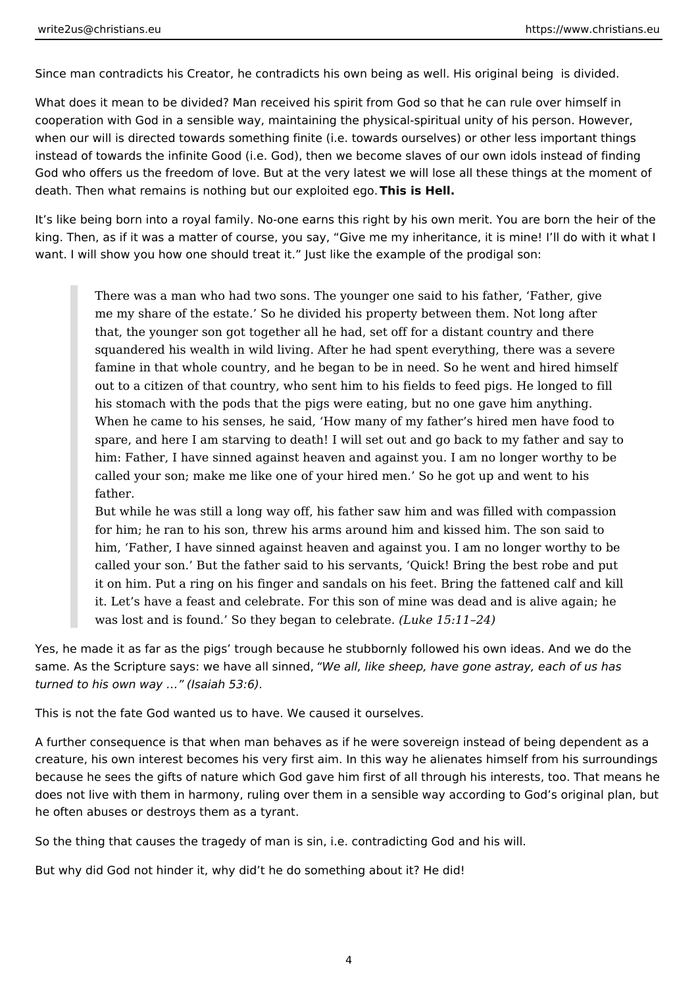Since man contradicts his Creator, he contradicts his own being as well. His original being is divided.

What does it mean to be divided? Man received his spirit from God so that he can rule over himself in cooperation with God in a sensible way, maintaining the physical-spiritual unity of his person. However, when our will is directed towards something finite (i.e. towards ourselves) or other less important things instead of towards the infinite Good (i.e. God), then we become slaves of our own idols instead of finding God who offers us the freedom of love. But at the very latest we will lose all these things at the moment of death. Then what remains is nothing but our exploited ego. **This is Hell.**

It's like being born into a royal family. No-one earns this right by his own merit. You are born the heir of the king. Then, as if it was a matter of course, you say, "Give me my inheritance, it is mine! I'll do with it what I want. I will show you how one should treat it." Just like the example of the prodigal son:

There was a man who had two sons. The younger one said to his father, 'Father, give me my share of the estate.' So he divided his property between them. Not long after that, the younger son got together all he had, set off for a distant country and there squandered his wealth in wild living. After he had spent everything, there was a severe famine in that whole country, and he began to be in need. So he went and hired himself out to a citizen of that country, who sent him to his fields to feed pigs. He longed to fill his stomach with the pods that the pigs were eating, but no one gave him anything. When he came to his senses, he said, 'How many of my father's hired men have food to spare, and here I am starving to death! I will set out and go back to my father and say to him: Father, I have sinned against heaven and against you. I am no longer worthy to be called your son; make me like one of your hired men.' So he got up and went to his father.

But while he was still a long way off, his father saw him and was filled with compassion for him; he ran to his son, threw his arms around him and kissed him. The son said to him, 'Father, I have sinned against heaven and against you. I am no longer worthy to be called your son.' But the father said to his servants, 'Quick! Bring the best robe and put it on him. Put a ring on his finger and sandals on his feet. Bring the fattened calf and kill it. Let's have a feast and celebrate. For this son of mine was dead and is alive again; he was lost and is found.' So they began to celebrate. *(Luke 15:11–24)*

Yes, he made it as far as the pigs' trough because he stubbornly followed his own ideas. And we do the same. As the Scripture says: we have all sinned, *"We all, like sheep, have gone astray, each of us has turned to his own way …" (Isaiah 53:6)*.

This is not the fate God wanted us to have. We caused it ourselves.

A further consequence is that when man behaves as if he were sovereign instead of being dependent as a creature, his own interest becomes his very first aim. In this way he alienates himself from his surroundings because he sees the gifts of nature which God gave him first of all through his interests, too. That means he does not live with them in harmony, ruling over them in a sensible way according to God's original plan, but he often abuses or destroys them as a tyrant.

So the thing that causes the tragedy of man is sin, i.e. contradicting God and his will.

But why did God not hinder it, why did't he do something about it? He did!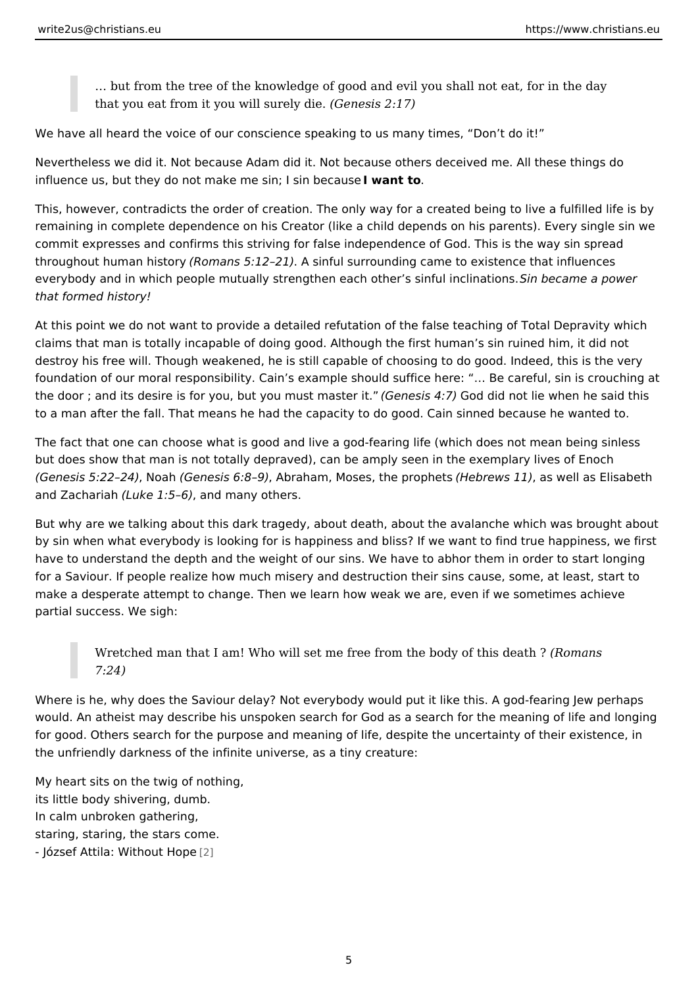& but from the tree of the knowledge of good and evil you shall not eat, that you eat from it you will  $S$ ue ne existi $\mathcal{Q}:$  17)

We have all heard the voice of our conscience speaking to us many times, Don t

Nevertheless we did it. Not because Adam did it. Not because others deceived m influence us, but they do not make me sinw dn sin because

This, however, contradicts the order of creation. The only way for a created beir remaining in complete dependence on his Creator (like a child depends on his pa commit expresses and confirms this striving for false independence of God. This throughout human h(Rotomans 5:12 A1) inful surrounding came to existence that infl everybody and in which people mutually strengthen each other bescian fruel anphiwations. that formed history!

At this point we do not want to provide a detailed refutation of the false teachin claims that man is totally incapable of doing good. Although the first human s si destroy his free will. Though weakened, he is still capable of choosing to do good. foundation of our moral responsibility. Cain s example should suffice here:  $8$  Be the door ; and its desire is for you, but yo (Genesis an a General did not lie when he said to a man after the fall. That means he had the capacity to do good. Cain sinned

The fact that one can choose what is good and live a god-fearing life (which doe but does show that man is not totally depraved), can be amply seen in the exemp  $(Genesis 5:22 M4)$  (Genesis 6:8 A $\Omega$ ) aham, Moses, the  $[OHeb$  hews 14  $\delta$  well as Elisabe and Zachar (i launke 1:5  $\theta$  hd many others.

But why are we talking about this dark tragedy, about death, about the avalanch by sin when what everybody is looking for is happiness and bliss? If we want to have to understand the depth and the weight of our sins. We have to abhor them for a Saviour. If people realize how much misery and destruction their sins caus make a desperate attempt to change. Then we learn how weak we are, even if we partial success. We sigh:

Wretched man that I am! Who will set me free from the (Romanyans this death 7:24)

Where is he, why does the Saviour delay? Not everybody would put it like this. A would. An atheist may describe his unspoken search for God as a search for the for good. Others search for the purpose and meaning of life, despite the uncerta the unfriendly darkness of the infinite universe, as a tiny creature:

My heart sits on the twig of nothing, its little body shivering, dumb. In calm unbroken gathering, staring, staring, the stars come. - József Attila: With $@$ ut Hope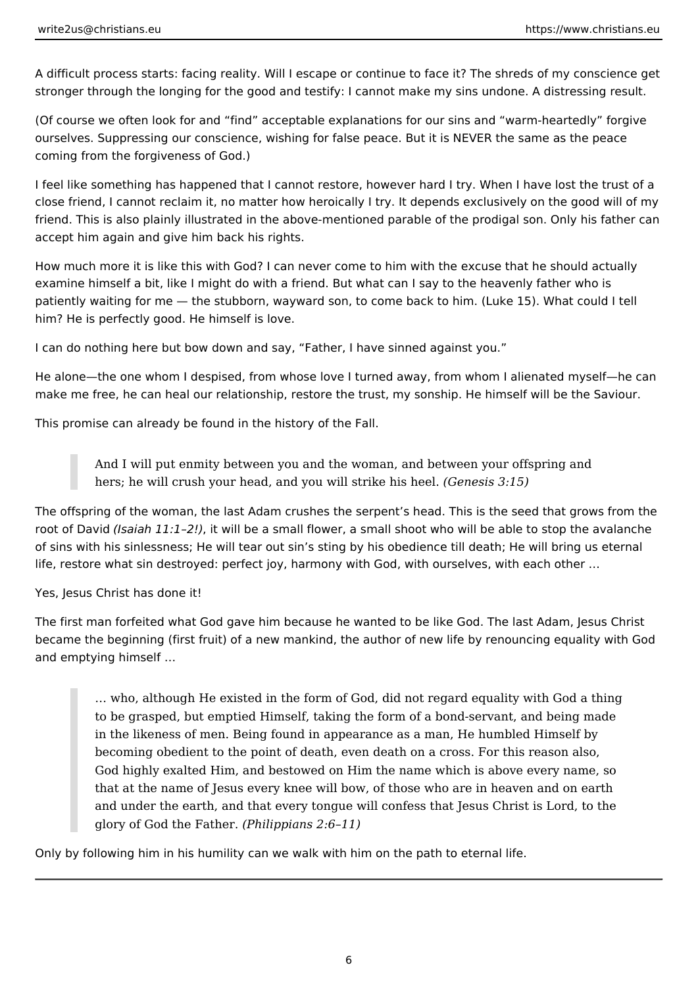A difficult process starts: facing reality. Will I escape or continue to face it? The shreds of my conscience get stronger through the longing for the good and testify: I cannot make my sins undone. A distressing result.

(Of course we often look for and "find" acceptable explanations for our sins and "warm-heartedly" forgive ourselves. Suppressing our conscience, wishing for false peace. But it is NEVER the same as the peace coming from the forgiveness of God.)

I feel like something has happened that I cannot restore, however hard I try. When I have lost the trust of a close friend, I cannot reclaim it, no matter how heroically I try. It depends exclusively on the good will of my friend. This is also plainly illustrated in the above-mentioned parable of the prodigal son. Only his father can accept him again and give him back his rights.

How much more it is like this with God? I can never come to him with the excuse that he should actually examine himself a bit, like I might do with a friend. But what can I say to the heavenly father who is patiently waiting for me — the stubborn, wayward son, to come back to him. (Luke 15). What could I tell him? He is perfectly good. He himself is love.

I can do nothing here but bow down and say, "Father, I have sinned against you."

He alone—the one whom I despised, from whose love I turned away, from whom I alienated myself—he can make me free, he can heal our relationship, restore the trust, my sonship. He himself will be the Saviour.

This promise can already be found in the history of the Fall.

And I will put enmity between you and the woman, and between your offspring and hers; he will crush your head, and you will strike his heel. *(Genesis 3:15)* 

The offspring of the woman, the last Adam crushes the serpent's head. This is the seed that grows from the root of David *(Isaiah 11:1–2!)*, it will be a small flower, a small shoot who will be able to stop the avalanche of sins with his sinlessness; He will tear out sin's sting by his obedience till death; He will bring us eternal life, restore what sin destroyed: perfect joy, harmony with God, with ourselves, with each other …

Yes, Jesus Christ has done it!

The first man forfeited what God gave him because he wanted to be like God. The last Adam, Jesus Christ became the beginning (first fruit) of a new mankind, the author of new life by renouncing equality with God and emptying himself …

… who, although He existed in the form of God, did not regard equality with God a thing to be grasped, but emptied Himself, taking the form of a bond-servant, and being made in the likeness of men. Being found in appearance as a man, He humbled Himself by becoming obedient to the point of death, even death on a cross. For this reason also, God highly exalted Him, and bestowed on Him the name which is above every name, so that at the name of Jesus every knee will bow, of those who are in heaven and on earth and under the earth, and that every tongue will confess that Jesus Christ is Lord, to the glory of God the Father. *(Philippians 2:6–11)* 

Only by following him in his humility can we walk with him on the path to eternal life.